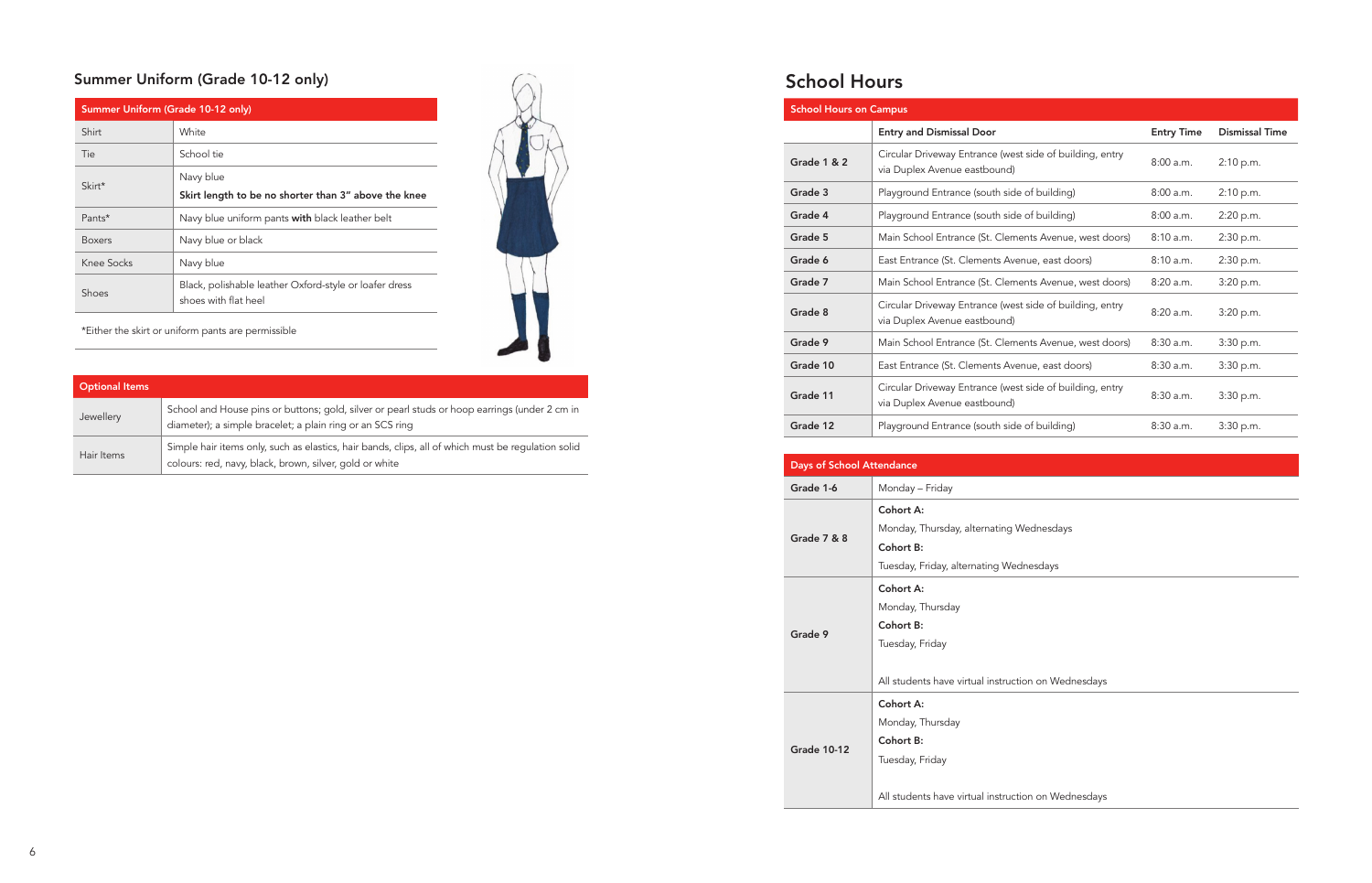# School Hours

| <b>School Hours on Campus</b> |                                                                                          |                   |                       |
|-------------------------------|------------------------------------------------------------------------------------------|-------------------|-----------------------|
|                               | <b>Entry and Dismissal Door</b>                                                          | <b>Entry Time</b> | <b>Dismissal Time</b> |
| Grade 1 & 2                   | Circular Driveway Entrance (west side of building, entry<br>via Duplex Avenue eastbound) | 8:00a.m.          | 2:10 p.m.             |
| Grade 3                       | Playground Entrance (south side of building)                                             | 8:00a.m.          | 2:10 p.m.             |
| Grade 4                       | Playground Entrance (south side of building)                                             | 8:00a.m.          | 2:20 p.m.             |
| Grade 5                       | Main School Entrance (St. Clements Avenue, west doors)                                   | 8:10a.m.          | 2:30 p.m.             |
| Grade 6                       | East Entrance (St. Clements Avenue, east doors)                                          | 8:10a.m.          | 2:30 p.m.             |
| Grade 7                       | Main School Entrance (St. Clements Avenue, west doors)                                   | 8:20 a.m.         | 3:20 p.m.             |
| Grade 8                       | Circular Driveway Entrance (west side of building, entry<br>via Duplex Avenue eastbound) | 8:20a.m.          | 3:20 p.m.             |
| Grade 9                       | Main School Entrance (St. Clements Avenue, west doors)                                   | 8:30a.m.          | 3:30 p.m.             |
| Grade 10                      | East Entrance (St. Clements Avenue, east doors)                                          | 8:30a.m.          | 3:30 p.m.             |
| Grade 11                      | Circular Driveway Entrance (west side of building, entry<br>via Duplex Avenue eastbound) | 8:30a.m.          | 3:30 p.m.             |
| Grade 12                      | Playground Entrance (south side of building)                                             | 8:30a.m.          | 3:30 p.m.             |

| <b>Days of School Attendance</b> |                                                     |  |
|----------------------------------|-----------------------------------------------------|--|
| Grade 1-6                        | Monday - Friday                                     |  |
| <b>Grade 7 &amp; 8</b>           | Cohort A:                                           |  |
|                                  | Monday, Thursday, alternating Wednesdays            |  |
|                                  | Cohort B:                                           |  |
|                                  | Tuesday, Friday, alternating Wednesdays             |  |
| Grade 9                          | Cohort A:                                           |  |
|                                  | Monday, Thursday                                    |  |
|                                  | Cohort B:                                           |  |
|                                  | Tuesday, Friday                                     |  |
|                                  |                                                     |  |
|                                  | All students have virtual instruction on Wednesdays |  |
| <b>Grade 10-12</b>               | Cohort A:                                           |  |
|                                  | Monday, Thursday                                    |  |
|                                  | Cohort B:                                           |  |
|                                  | Tuesday, Friday                                     |  |
|                                  |                                                     |  |
|                                  | All students have virtual instruction on Wednesdays |  |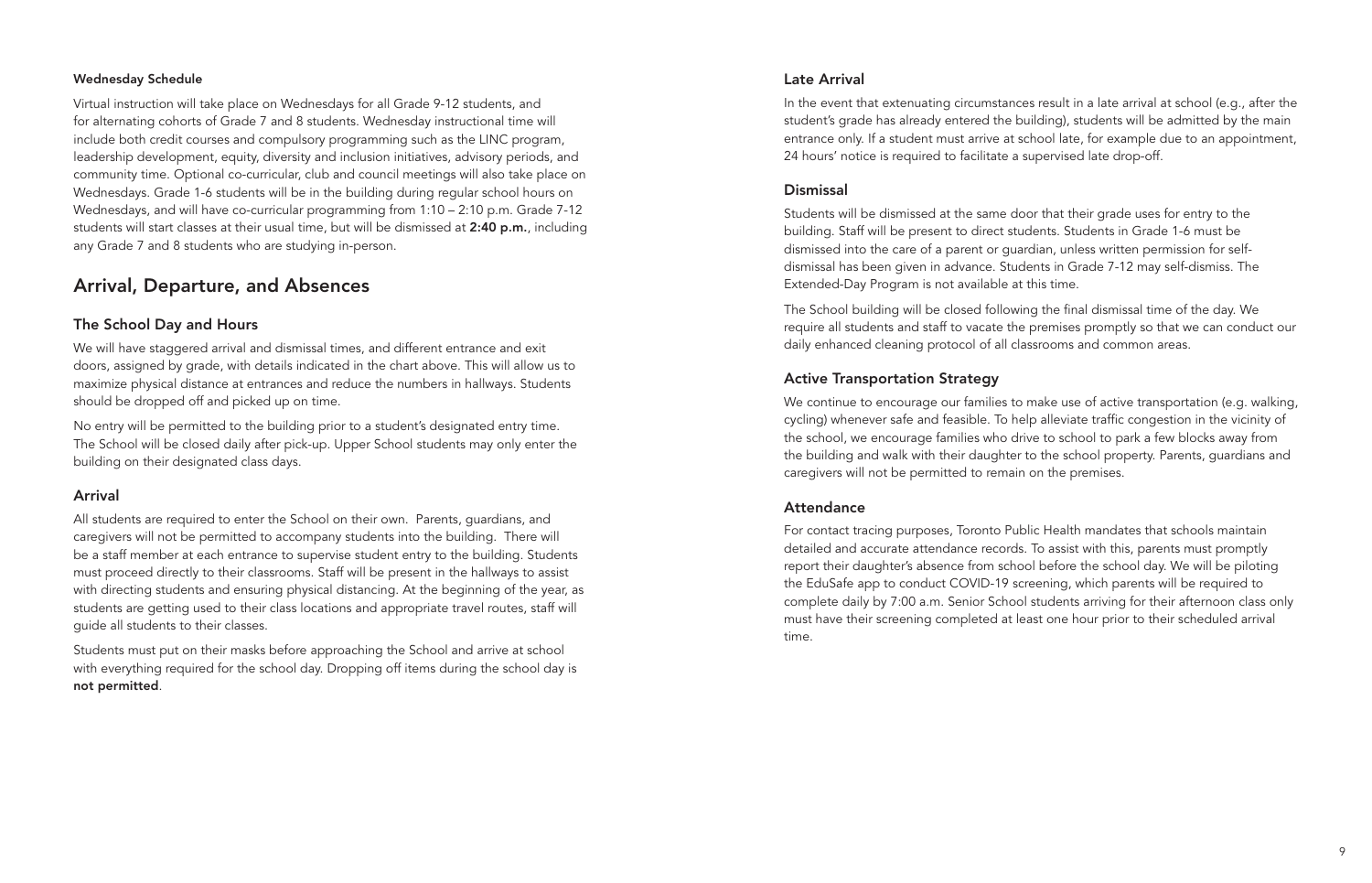#### Wednesday Schedule

Virtual instruction will take place on Wednesdays for all Grade 9-12 students, and for alternating cohorts of Grade 7 and 8 students. Wednesday instructional time will include both credit courses and compulsory programming such as the LINC program, leadership development, equity, diversity and inclusion initiatives, advisory periods, and community time. Optional co-curricular, club and council meetings will also take place on Wednesdays. Grade 1-6 students will be in the building during regular school hours on Wednesdays, and will have co-curricular programming from 1:10 – 2:10 p.m. Grade 7-12 students will start classes at their usual time, but will be dismissed at 2:40 p.m., including any Grade 7 and 8 students who are studying in-person.

# Arrival, Departure, and Absences

#### The School Day and Hours

We will have staggered arrival and dismissal times, and different entrance and exit doors, assigned by grade, with details indicated in the chart above. This will allow us to maximize physical distance at entrances and reduce the numbers in hallways. Students should be dropped off and picked up on time.

No entry will be permitted to the building prior to a student's designated entry time. The School will be closed daily after pick-up. Upper School students may only enter the building on their designated class days.

#### Arrival

All students are required to enter the School on their own. Parents, guardians, and caregivers will not be permitted to accompany students into the building. There will be a staff member at each entrance to supervise student entry to the building. Students must proceed directly to their classrooms. Staff will be present in the hallways to assist with directing students and ensuring physical distancing. At the beginning of the year, as students are getting used to their class locations and appropriate travel routes, staff will guide all students to their classes.

Students must put on their masks before approaching the School and arrive at school with everything required for the school day. Dropping off items during the school day is not permitted.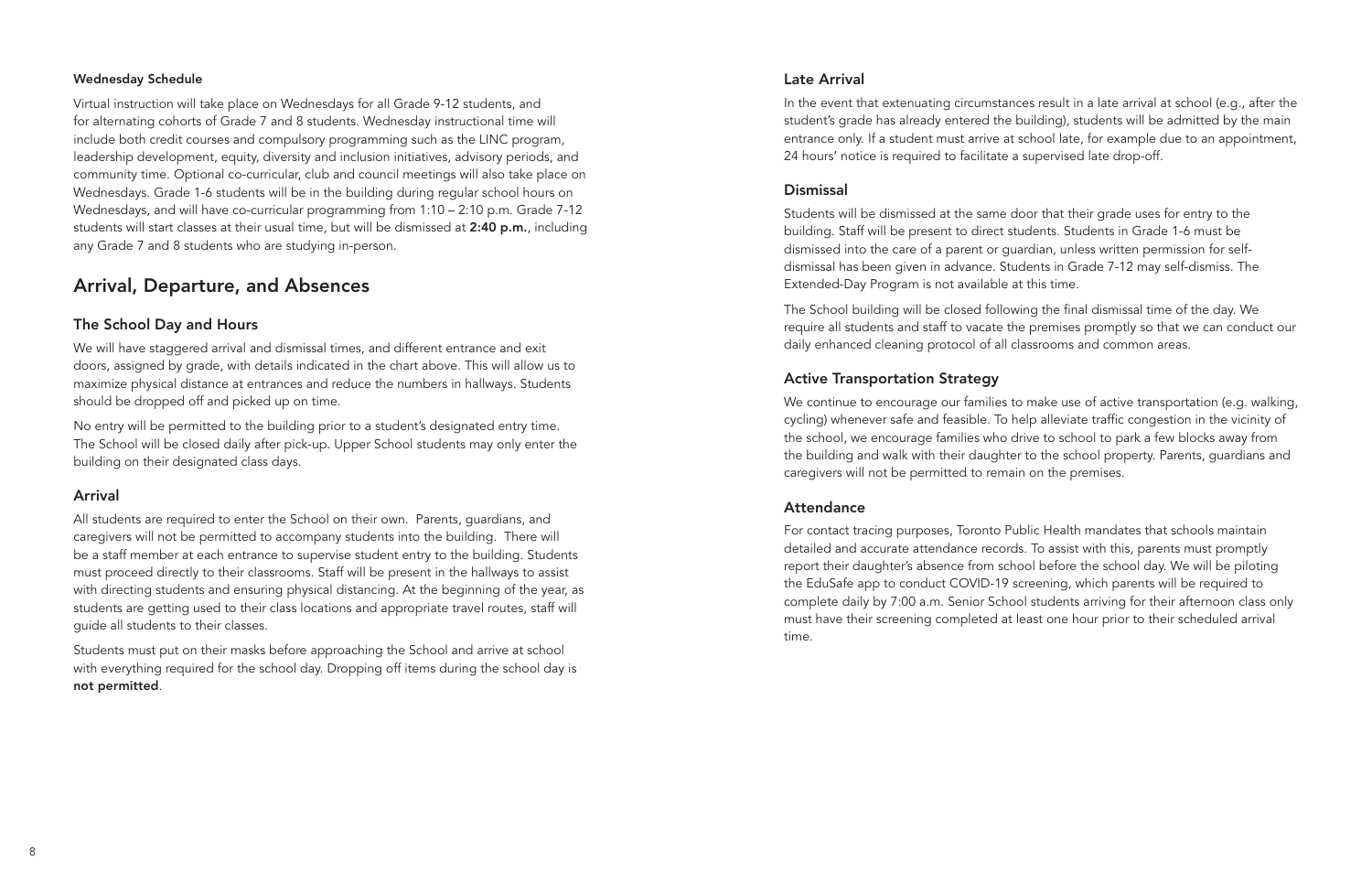### Late Arrival

In the event that extenuating circumstances result in a late arrival at school (e.g., after the student's grade has already entered the building), students will be admitted by the main entrance only. If a student must arrive at school late, for example due to an appointment, 24 hours' notice is required to facilitate a supervised late drop-off.

#### **Dismissal**

Students will be dismissed at the same door that their grade uses for entry to the building. Staff will be present to direct students. Students in Grade 1-6 must be dismissed into the care of a parent or guardian, unless written permission for selfdismissal has been given in advance. Students in Grade 7-12 may self-dismiss. The Extended-Day Program is not available at this time.

The School building will be closed following the final dismissal time of the day. We require all students and staff to vacate the premises promptly so that we can conduct our daily enhanced cleaning protocol of all classrooms and common areas.

# Active Transportation Strategy

We continue to encourage our families to make use of active transportation (e.g. walking, cycling) whenever safe and feasible. To help alleviate traffic congestion in the vicinity of the school, we encourage families who drive to school to park a few blocks away from the building and walk with their daughter to the school property. Parents, guardians and caregivers will not be permitted to remain on the premises.

# **Attendance**

For contact tracing purposes, Toronto Public Health mandates that schools maintain detailed and accurate attendance records. To assist with this, parents must promptly report their daughter's absence from school before the school day. We will be piloting the EduSafe app to conduct COVID-19 screening, which parents will be required to complete daily by 7:00 a.m. Senior School students arriving for their afternoon class only must have their screening completed at least one hour prior to their scheduled arrival time.